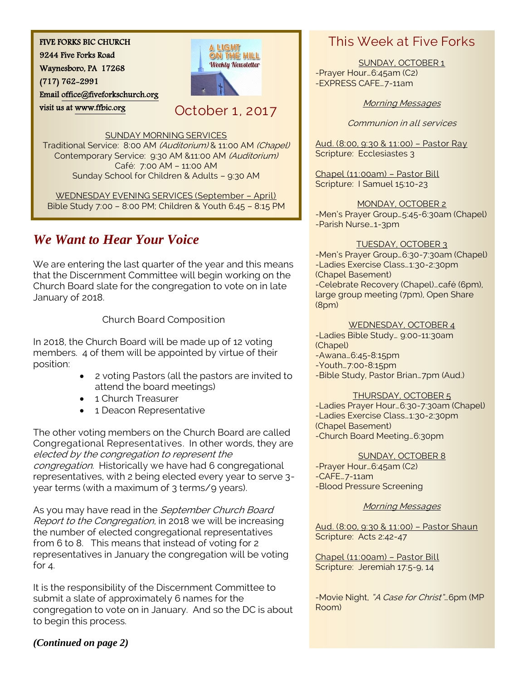FIVE FORKS BIC CHURCH

9244 Five Forks Road

Waynesboro, PA 17268

(717) 762-2991

visit us at [www.ffbic.org](http://www.ffbic.org/) 

Emai[l office@fiveforkschurch.org](mailto:office@fiveforkschurch.org) 

October 1, 2017

A LIGHT ON THE HILL **Weekly Newsletter** 

SUNDAY MORNING SERVICES

Traditional Service: 8:00 AM (Auditorium) & 11:00 AM (Chapel) Contemporary Service: 9:30 AM &11:00 AM (Auditorium) Café: 7:00 AM – 11:00 AM Sunday School for Children & Adults – 9:30 AM

WEDNESDAY EVENING SERVICES (September – April) Bible Study 7:00 – 8:00 PM; Children & Youth 6:45 – 8:15 PM

# *We Want to Hear Your Voice*

We are entering the last quarter of the year and this means that the Discernment Committee will begin working on the Church Board slate for the congregation to vote on in late January of 2018.

## Church Board Composition

In 2018, the Church Board will be made up of 12 voting members. 4 of them will be appointed by virtue of their position:

- 2 voting Pastors (all the pastors are invited to attend the board meetings)
- 1 Church Treasurer
- 1 Deacon Representative

The other voting members on the Church Board are called Congregational Representatives. In other words, they are elected by the congregation to represent the congregation. Historically we have had 6 congregational representatives, with 2 being elected every year to serve 3 year terms (with a maximum of 3 terms/9 years).

As you may have read in the September Church Board Report to the Congregation, in 2018 we will be increasing the number of elected congregational representatives from 6 to 8. This means that instead of voting for 2 representatives in January the congregation will be voting for 4.

It is the responsibility of the Discernment Committee to submit a slate of approximately 6 names for the congregation to vote on in January. And so the DC is about to begin this process.

# This Week at Five Forks

SUNDAY, OCTOBER 1 -Prayer Hour…6:45am (C2) -EXPRESS CAFE…7-11am

## Morning Messages

Communion in all services

Aud. (8:00, 9:30 & 11:00) – Pastor Ray Scripture: Ecclesiastes 3

Chapel (11:00am) – Pastor Bill Scripture: I Samuel 15:10-23

MONDAY, OCTOBER 2 -Men's Prayer Group…5:45-6:30am (Chapel) -Parish Nurse…1-3pm

## TUESDAY, OCTOBER 3

-Men's Prayer Group…6:30-7:30am (Chapel) -Ladies Exercise Class…1:30-2:30pm (Chapel Basement) -Celebrate Recovery (Chapel)…café (6pm), large group meeting (7pm), Open Share (8pm)

WEDNESDAY, OCTOBER 4

-Ladies Bible Study… 9:00-11:30am (Chapel) -Awana…6:45-8:15pm -Youth…7:00-8:15pm -Bible Study, Pastor Brian…7pm (Aud.)

## THURSDAY, OCTOBER 5

-Ladies Prayer Hour…6:30-7:30am (Chapel) -Ladies Exercise Class…1:30-2:30pm (Chapel Basement) -Church Board Meeting…6:30pm

SUNDAY, OCTOBER 8 -Prayer Hour…6:45am (C2) -CAFE…7-11am -Blood Pressure Screening

Morning Messages

Aud. (8:00, 9:30 & 11:00) – Pastor Shaun Scripture: Acts 2:42-47

Chapel (11:00am) – Pastor Bill Scripture: Jeremiah 17:5-9, 14

-Movie Night, "A Case for Christ"... 6pm (MP Room)

## *(Continued on page 2)*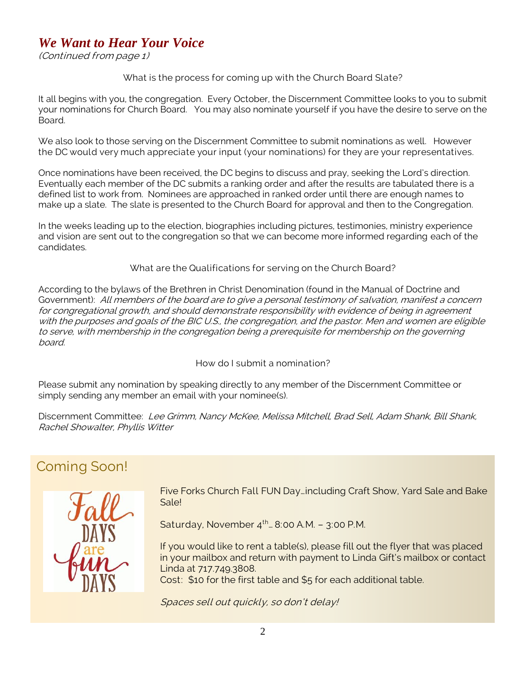# *We Want to Hear Your Voice*

(Continued from page 1)

## What is the process for coming up with the Church Board Slate?

It all begins with you, the congregation. Every October, the Discernment Committee looks to you to submit your nominations for Church Board. You may also nominate yourself if you have the desire to serve on the Board.

We also look to those serving on the Discernment Committee to submit nominations as well. However the DC would very much appreciate your input (your nominations) for they are your representatives.

Once nominations have been received, the DC begins to discuss and pray, seeking the Lord's direction. Eventually each member of the DC submits a ranking order and after the results are tabulated there is a defined list to work from. Nominees are approached in ranked order until there are enough names to make up a slate. The slate is presented to the Church Board for approval and then to the Congregation.

In the weeks leading up to the election, biographies including pictures, testimonies, ministry experience and vision are sent out to the congregation so that we can become more informed regarding each of the candidates.

What are the Qualifications for serving on the Church Board?

According to the bylaws of the Brethren in Christ Denomination (found in the Manual of Doctrine and Government): All members of the board are to give a personal testimony of salvation, manifest a concern for congregational growth, and should demonstrate responsibility with evidence of being in agreement with the purposes and goals of the BIC U.S., the congregation, and the pastor. Men and women are eligible to serve, with membership in the congregation being a prerequisite for membership on the governing board.

How do I submit a nomination?

Please submit any nomination by speaking directly to any member of the Discernment Committee or simply sending any member an email with your nominee(s).

Discernment Committee: Lee Grimm, Nancy McKee, Melissa Mitchell, Brad Sell, Adam Shank, Bill Shank, Rachel Showalter, Phyllis Witter

# Coming Soon!



Five Forks Church Fall FUN Day…including Craft Show, Yard Sale and Bake Sale!

Saturday, November  $4^{th}$ . 8:00 A.M. - 3:00 P.M.

If you would like to rent a table(s), please fill out the flyer that was placed in your mailbox and return with payment to Linda Gift's mailbox or contact Linda at 717.749.3808.

Cost: \$10 for the first table and \$5 for each additional table.

Spaces sell out quickly, so don't delay!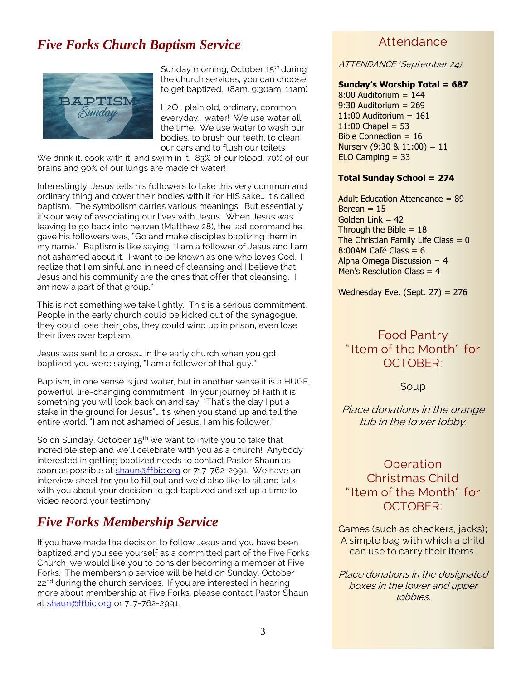# *Five Forks Church Baptism Service*



Sunday morning, October 15<sup>th</sup> during the church services, you can choose to get baptized. (8am, 9:30am, 11am)

H2O… plain old, ordinary, common, everyday… water! We use water all the time. We use water to wash our bodies, to brush our teeth, to clean our cars and to flush our toilets.

We drink it, cook with it, and swim in it. 83% of our blood, 70% of our brains and 90% of our lungs are made of water!

Interestingly, Jesus tells his followers to take this very common and ordinary thing and cover their bodies with it for HIS sake… it's called baptism. The symbolism carries various meanings. But essentially it's our way of associating our lives with Jesus. When Jesus was leaving to go back into heaven (Matthew 28), the last command he gave his followers was, "Go and make disciples baptizing them in my name." Baptism is like saying, "I am a follower of Jesus and I am not ashamed about it. I want to be known as one who loves God. I realize that I am sinful and in need of cleansing and I believe that Jesus and his community are the ones that offer that cleansing. I am now a part of that group."

This is not something we take lightly. This is a serious commitment. People in the early church could be kicked out of the synagogue, they could lose their jobs, they could wind up in prison, even lose their lives over baptism.

Jesus was sent to a cross… in the early church when you got baptized you were saying, "I am a follower of that guy."

Baptism, in one sense is just water, but in another sense it is a HUGE, powerful, life-changing commitment. In your journey of faith it is something you will look back on and say, "That's the day I put a stake in the ground for Jesus"…it's when you stand up and tell the entire world, "I am not ashamed of Jesus, I am his follower."

So on Sunday, October  $15<sup>th</sup>$  we want to invite you to take that incredible step and we'll celebrate with you as a church! Anybody interested in getting baptized needs to contact Pastor Shaun as soon as possible at [shaun@ffbic.org](mailto:shaun@ffbic.org) or 717-762-2991. We have an interview sheet for you to fill out and we'd also like to sit and talk with you about your decision to get baptized and set up a time to video record your testimony.

# *Five Forks Membership Service*

If you have made the decision to follow Jesus and you have been baptized and you see yourself as a committed part of the Five Forks Church, we would like you to consider becoming a member at Five Forks. The membership service will be held on Sunday, October 22<sup>nd</sup> during the church services. If you are interested in hearing more about membership at Five Forks, please contact Pastor Shaun a[t shaun@ffbic.org](mailto:shaun@ffbic.org) or 717-762-2991.

## Attendance

ATTENDANCE (September 24)

#### **Sunday's Worship Total = 687**

 $8:00$  Auditorium = 144 9:30 Auditorium = 269  $11:00$  Auditorium =  $161$  $11:00$  Chapel = 53 Bible Connection = 16 Nursery  $(9:30 \& 11:00) = 11$  $ELO$  Camping = 33

#### **Total Sunday School = 274**

Adult Education Attendance = 89 Berean  $= 15$ Golden Link  $= 42$ Through the Bible  $= 18$ The Christian Family Life Class  $= 0$  $8:00$ AM Café Class = 6 Alpha Omega Discussion  $= 4$ Men's Resolution Class  $= 4$ 

Wednesday Eve. (Sept.  $27$ ) = 276

# Food Pantry " Item of the Month" for OCTOBER:

Soup

Place donations in the orange tub in the lower lobby.

# Operation Christmas Child " Item of the Month" for OCTOBER:

Games (such as checkers, jacks); A simple bag with which a child can use to carry their items.

Place donations in the designated boxes in the lower and upper lobbies.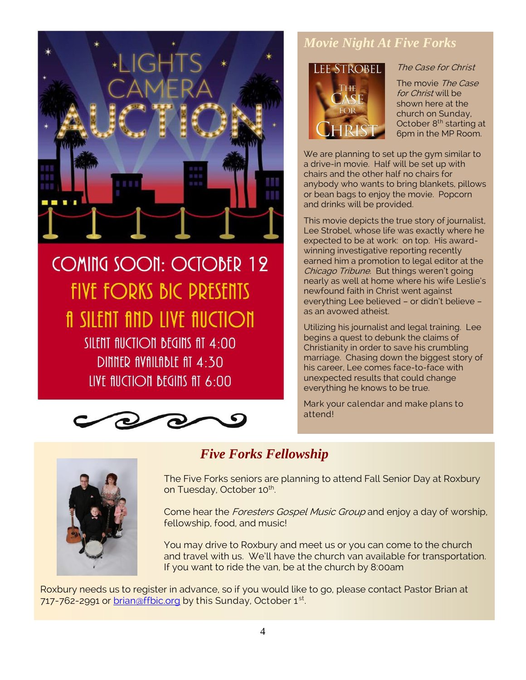

**COMING SOON: OCTOBER 12 FIVE FORKS BIC PRESENTS fi** SILENT find live fiuction SILENT AUCTION BEGINS AT 4:00 DINNER AVAILABLE AT 4:30 LIVE fluction begins fit 6:00



# *Movie Night At Five Forks*



## The Case for Christ

The movie The Case for Christ will be shown here at the church on Sunday, October 8<sup>th</sup> starting at 6pm in the MP Room.

We are planning to set up the gym similar to a drive-in movie. Half will be set up with chairs and the other half no chairs for anybody who wants to bring blankets, pillows or bean bags to enjoy the movie. Popcorn and drinks will be provided.

This movie depicts the true story of journalist, Lee Strobel, whose life was exactly where he expected to be at work: on top. His awardwinning investigative reporting recently earned him a promotion to legal editor at the Chicago Tribune. But things weren't going nearly as well at home where his wife Leslie's newfound faith in Christ went against everything Lee believed – or didn't believe – as an avowed atheist.

Utilizing his journalist and legal training. Lee begins a quest to debunk the claims of Christianity in order to save his crumbling marriage. Chasing down the biggest story of his career, Lee comes face-to-face with unexpected results that could change everything he knows to be true.

Mark your calendar and make plans to attend!



*Five Forks Fellowship*

The Five Forks seniors are planning to attend Fall Senior Day at Roxbury on Tuesday, October 10<sup>th</sup>. .

Come hear the Foresters Gospel Music Group and enjoy a day of worship, fellowship, food, and music!

You may drive to Roxbury and meet us or you can come to the church and travel with us. We'll have the church van available for transportation. If you want to ride the van, be at the church by 8:00am

Roxbury needs us to register in advance, so if you would like to go, please contact Pastor Brian at 717-762-2991 or brian  $\mathfrak{affbic}$  org by this Sunday, October 1st. .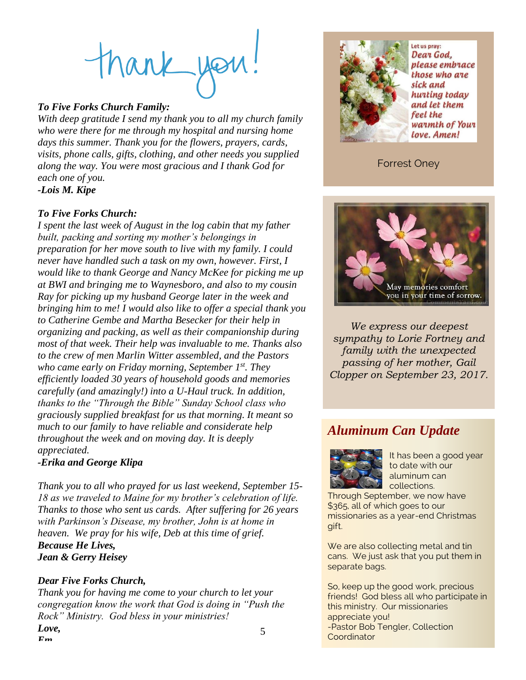# thank you

## *To Five Forks Church Family:*

*With deep gratitude I send my thank you to all my church family who were there for me through my hospital and nursing home days this summer. Thank you for the flowers, prayers, cards, visits, phone calls, gifts, clothing, and other needs you supplied along the way. You were most gracious and I thank God for each one of you.*

*-Lois M. Kipe*

## *To Five Forks Church:*

*I spent the last week of August in the log cabin that my father built, packing and sorting my mother's belongings in preparation for her move south to live with my family. I could never have handled such a task on my own, however. First, I would like to thank George and Nancy McKee for picking me up at BWI and bringing me to Waynesboro, and also to my cousin Ray for picking up my husband George later in the week and bringing him to me! I would also like to offer a special thank you to Catherine Gembe and Martha Besecker for their help in organizing and packing, as well as their companionship during most of that week. Their help was invaluable to me. Thanks also to the crew of men Marlin Witter assembled, and the Pastors who came early on Friday morning, September 1st. They efficiently loaded 30 years of household goods and memories carefully (and amazingly!) into a U-Haul truck. In addition, thanks to the "Through the Bible" Sunday School class who graciously supplied breakfast for us that morning. It meant so much to our family to have reliable and considerate help throughout the week and on moving day. It is deeply appreciated.* 

## *-Erika and George Klipa*

*Thank you to all who prayed for us last weekend, September 15- 18 as we traveled to Maine for my brother's celebration of life. Thanks to those who sent us cards. After suffering for 26 years with Parkinson's Disease, my brother, John is at home in heaven. We pray for his wife, Deb at this time of grief. Because He Lives, Jean & Gerry Heisey*

## *Dear Five Forks Church,*

*Em*

5 *Thank you for having me come to your church to let your congregation know the work that God is doing in "Push the Rock" Ministry. God bless in your ministries! Love,*



Let us pray: Dear God. please embrace those who are sick and hunting today and let them feel the warmth of Your love. Amen!

## Forrest Oney



*We express our deepest sympathy to Lorie Fortney and family with the unexpected passing of her mother, Gail Clopper on September 23, 2017.*

# *Aluminum Can Update*



It has been a good year to date with our aluminum can collections.

Through September, we now have \$365, all of which goes to our missionaries as a year-end Christmas gift.

We are also collecting metal and tin cans. We just ask that you put them in separate bags.

So, keep up the good work, precious friends! God bless all who participate in this ministry. Our missionaries appreciate you! -Pastor Bob Tengler, Collection **Coordinator**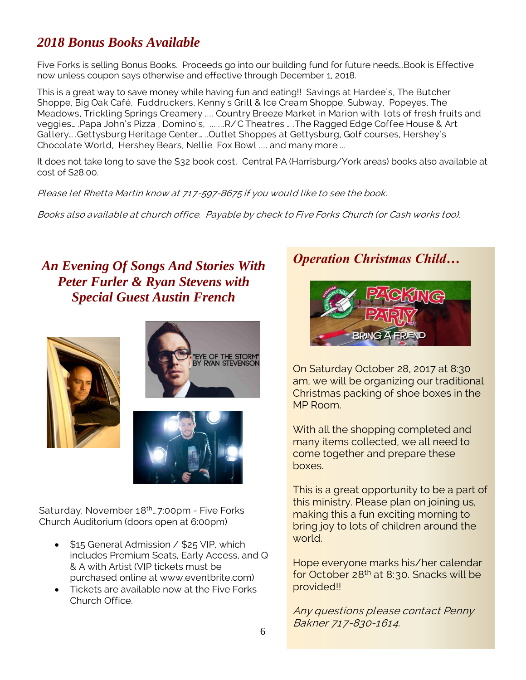# *2018 Bonus Books Available*

Five Forks is selling Bonus Books. Proceeds go into our building fund for future needs…Book is Effective now unless coupon says otherwise and effective through December 1, 2018.

This is a great way to save money while having fun and eating!! Savings at Hardee's, The Butcher Shoppe, Big Oak Café, Fuddruckers, Kenny's Grill & Ice Cream Shoppe, Subway, Popeyes, The Meadows, Trickling Springs Creamery .... Country Breeze Market in Marion with lots of fresh fruits and veggies… .Papa John's Pizza , Domino's, .......R/ C Theatres … .The Ragged Edge Coffee House & Art Gallery… .Gettysburg Heritage Center… ..Outlet Shoppes at Gettysburg, Golf courses, Hershey's Chocolate World, Hershey Bears, Nellie Fox Bowl .... and many more ...

It does not take long to save the \$32 book cost. Central PA (Harrisburg/York areas) books also available at cost of \$28.00.

Please let Rhetta Martin know at 717-597-8675 if you would like to see the book.

Books also available at church office. Payable by check to Five Forks Church (or Cash works too).

# *An Evening Of Songs And Stories With Peter Furler & Ryan Stevens with Special Guest Austin French*







Saturday, November 18<sup>th</sup>... 7:00pm - Five Forks Church Auditorium (doors open at 6:00pm)

- \$15 General Admission / \$25 VIP, which includes Premium Seats, Early Access, and Q & A with Artist (VIP tickets must be purchased online at www.eventbrite.com)
- Tickets are available now at the Five Forks Church Office.

# *Operation Christmas Child…*



On Saturday October 28, 2017 at 8:30 am, we will be organizing our traditional Christmas packing of shoe boxes in the MP Room.

With all the shopping completed and many items collected, we all need to come together and prepare these boxes.

This is a great opportunity to be a part of this ministry. Please plan on joining us, making this a fun exciting morning to bring joy to lots of children around the world.

Hope everyone marks his/her calendar for October 28th at 8:30. Snacks will be provided!!

Any questions please contact Penny Bakner 717-830-1614.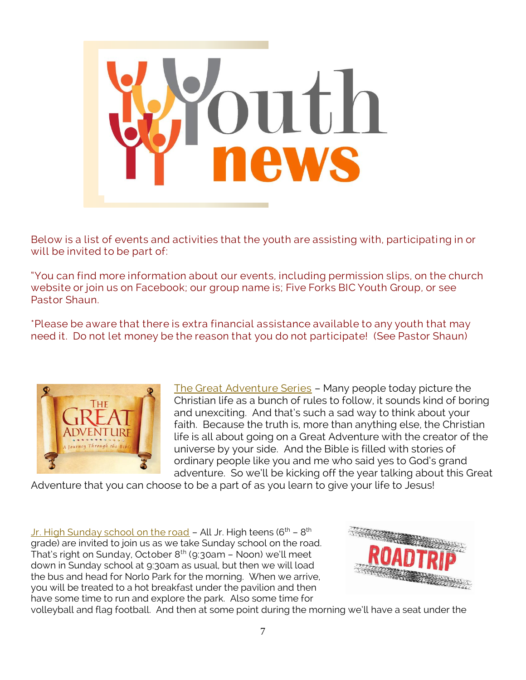

Below is a list of events and activities that the youth are assisting with, participating in or will be invited to be part of:

"You can find more information about our events, including permission slips, on the church website or join us on Facebook; our group name is; Five Forks BIC Youth Group, or see Pastor Shaun.

\*Please be aware that there is extra financial assistance available to any youth that may need it. Do not let money be the reason that you do not participate! (See Pastor Shaun)



The Great Adventure Series – Many people today picture the Christian life as a bunch of rules to follow, it sounds kind of boring and unexciting. And that's such a sad way to think about your faith. Because the truth is, more than anything else, the Christian life is all about going on a Great Adventure with the creator of the universe by your side. And the Bible is filled with stories of ordinary people like you and me who said yes to God's grand adventure. So we'll be kicking off the year talking about this Great

Adventure that you can choose to be a part of as you learn to give your life to Jesus!

<u>Jr. High Sunday school on the road</u> – All Jr. High teens (6<sup>th</sup> – 8<sup>th</sup> grade) are invited to join us as we take Sunday school on the road. That's right on Sunday, October  $8<sup>th</sup>$  (9:30am – Noon) we'll meet down in Sunday school at 9:30am as usual, but then we will load the bus and head for Norlo Park for the morning. When we arrive, you will be treated to a hot breakfast under the pavilion and then have some time to run and explore the park. Also some time for



volleyball and flag football. And then at some point during the morning we'll have a seat under the